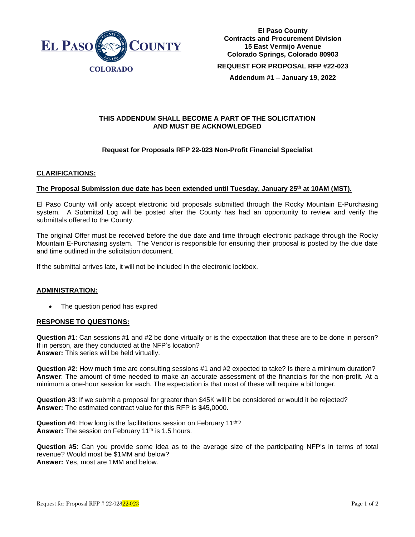

**El Paso County Contracts and Procurement Division 15 East Vermijo Avenue Colorado Springs, Colorado 80903 REQUEST FOR PROPOSAL RFP #22-023**

**Addendum #1 – January 19, 2022**

### **THIS ADDENDUM SHALL BECOME A PART OF THE SOLICITATION AND MUST BE ACKNOWLEDGED**

# **Request for Proposals RFP 22-023 Non-Profit Financial Specialist**

# **CLARIFICATIONS:**

### **The Proposal Submission due date has been extended until Tuesday, January 25th at 10AM (MST).**

El Paso County will only accept electronic bid proposals submitted through the Rocky Mountain E-Purchasing system. A Submittal Log will be posted after the County has had an opportunity to review and verify the submittals offered to the County.

The original Offer must be received before the due date and time through electronic package through the Rocky Mountain E-Purchasing system. The Vendor is responsible for ensuring their proposal is posted by the due date and time outlined in the solicitation document.

If the submittal arrives late, it will not be included in the electronic lockbox.

### **ADMINISTRATION:**

The question period has expired

#### **RESPONSE TO QUESTIONS:**

**Question #1**: Can sessions #1 and #2 be done virtually or is the expectation that these are to be done in person? If in person, are they conducted at the NFP's location? **Answer:** This series will be held virtually.

**Question #2:** How much time are consulting sessions #1 and #2 expected to take? Is there a minimum duration? **Answer**: The amount of time needed to make an accurate assessment of the financials for the non-profit. At a minimum a one-hour session for each. The expectation is that most of these will require a bit longer.

**Question #3**: If we submit a proposal for greater than \$45K will it be considered or would it be rejected? **Answer:** The estimated contract value for this RFP is \$45,0000.

**Question #4**: How long is the facilitations session on February 11th? Answer: The session on February 11<sup>th</sup> is 1.5 hours.

**Question #5**: Can you provide some idea as to the average size of the participating NFP's in terms of total revenue? Would most be \$1MM and below? **Answer:** Yes, most are 1MM and below.